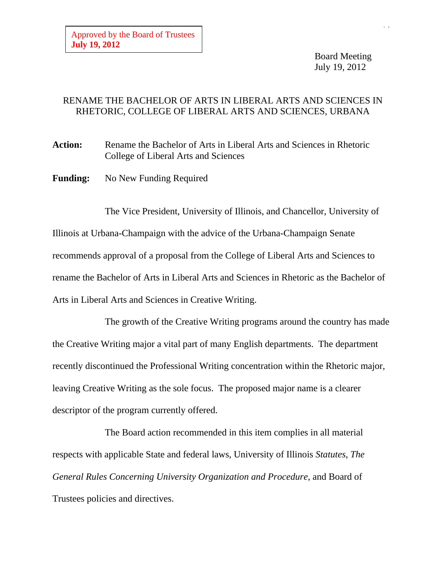Board Meeting July 19, 2012

## RENAME THE BACHELOR OF ARTS IN LIBERAL ARTS AND SCIENCES IN RHETORIC, COLLEGE OF LIBERAL ARTS AND SCIENCES, URBANA

**Action:** Rename the Bachelor of Arts in Liberal Arts and Sciences in Rhetoric College of Liberal Arts and Sciences

**Funding:** No New Funding Required

The Vice President, University of Illinois, and Chancellor, University of Illinois at Urbana-Champaign with the advice of the Urbana-Champaign Senate recommends approval of a proposal from the College of Liberal Arts and Sciences to rename the Bachelor of Arts in Liberal Arts and Sciences in Rhetoric as the Bachelor of Arts in Liberal Arts and Sciences in Creative Writing.

The growth of the Creative Writing programs around the country has made the Creative Writing major a vital part of many English departments. The department recently discontinued the Professional Writing concentration within the Rhetoric major, leaving Creative Writing as the sole focus. The proposed major name is a clearer descriptor of the program currently offered.

The Board action recommended in this item complies in all material respects with applicable State and federal laws, University of Illinois *Statutes*, *The General Rules Concerning University Organization and Procedure*, and Board of Trustees policies and directives.